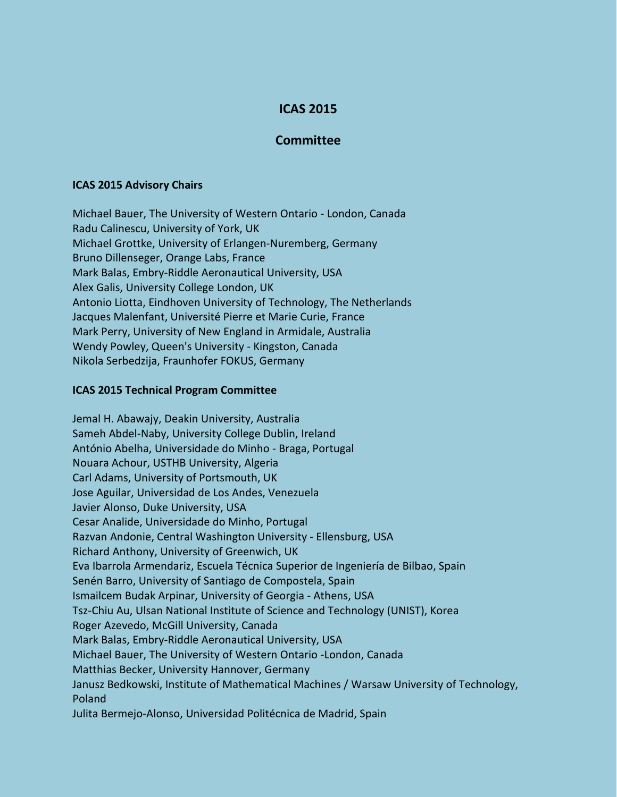## **ICAS 2015**

## **Committee**

## **ICAS 2015 Advisory Chairs**

Michael Bauer, The University of Western Ontario - London, Canada Radu Calinescu, University of York, UK Michael Grottke, University of Erlangen-Nuremberg, Germany Bruno Dillenseger, Orange Labs, France Mark Balas, Embry-Riddle Aeronautical University, USA Alex Galis, University College London, UK Antonio Liotta, Eindhoven University of Technology, The Netherlands Jacques Malenfant, Université Pierre et Marie Curie, France Mark Perry, University of New England in Armidale, Australia Wendy Powley, Queen's University - Kingston, Canada Nikola Serbedzija, Fraunhofer FOKUS, Germany

## **ICAS 2015 Technical Program Committee**

Jemal H. Abawajy, Deakin University, Australia Sameh Abdel-Naby, University College Dublin, Ireland António Abelha, Universidade do Minho - Braga, Portugal Nouara Achour, USTHB University, Algeria Carl Adams, University of Portsmouth, UK Jose Aguilar, Universidad de Los Andes, Venezuela Javier Alonso, Duke University, USA Cesar Analide, Universidade do Minho, Portugal Razvan Andonie, Central Washington University - Ellensburg, USA Richard Anthony, University of Greenwich, UK Eva Ibarrola Armendariz, Escuela Técnica Superior de Ingeniería de Bilbao, Spain Senén Barro, University of Santiago de Compostela, Spain Ismailcem Budak Arpinar, University of Georgia - Athens, USA Tsz-Chiu Au, Ulsan National Institute of Science and Technology (UNIST), Korea Roger Azevedo, McGill University, Canada Mark Balas, Embry-Riddle Aeronautical University, USA Michael Bauer, The University of Western Ontario -London, Canada Matthias Becker, University Hannover, Germany Janusz Bedkowski, Institute of Mathematical Machines / Warsaw University of Technology, Poland Julita Bermejo-Alonso, Universidad Politécnica de Madrid, Spain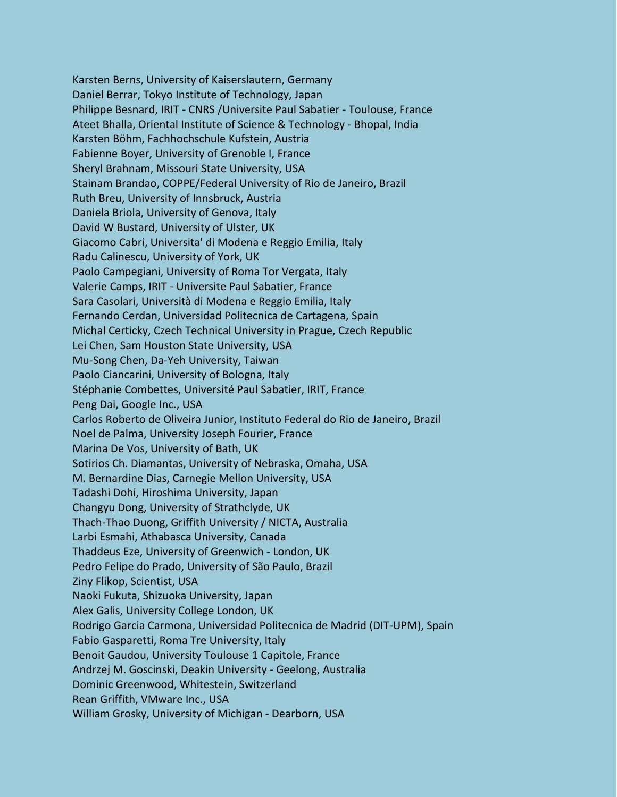Karsten Berns, University of Kaiserslautern, Germany Daniel Berrar, Tokyo Institute of Technology, Japan Philippe Besnard, IRIT - CNRS /Universite Paul Sabatier - Toulouse, France Ateet Bhalla, Oriental Institute of Science & Technology - Bhopal, India Karsten Böhm, Fachhochschule Kufstein, Austria Fabienne Boyer, University of Grenoble I, France Sheryl Brahnam, Missouri State University, USA Stainam Brandao, COPPE/Federal University of Rio de Janeiro, Brazil Ruth Breu, University of Innsbruck, Austria Daniela Briola, University of Genova, Italy David W Bustard, University of Ulster, UK Giacomo Cabri, Universita' di Modena e Reggio Emilia, Italy Radu Calinescu, University of York, UK Paolo Campegiani, University of Roma Tor Vergata, Italy Valerie Camps, IRIT - Universite Paul Sabatier, France Sara Casolari, Università di Modena e Reggio Emilia, Italy Fernando Cerdan, Universidad Politecnica de Cartagena, Spain Michal Certicky, Czech Technical University in Prague, Czech Republic Lei Chen, Sam Houston State University, USA Mu-Song Chen, Da-Yeh University, Taiwan Paolo Ciancarini, University of Bologna, Italy Stéphanie Combettes, Université Paul Sabatier, IRIT, France Peng Dai, Google Inc., USA Carlos Roberto de Oliveira Junior, Instituto Federal do Rio de Janeiro, Brazil Noel de Palma, University Joseph Fourier, France Marina De Vos, University of Bath, UK Sotirios Ch. Diamantas, University of Nebraska, Omaha, USA M. Bernardine Dias, Carnegie Mellon University, USA Tadashi Dohi, Hiroshima University, Japan Changyu Dong, University of Strathclyde, UK Thach-Thao Duong, Griffith University / NICTA, Australia Larbi Esmahi, Athabasca University, Canada Thaddeus Eze, University of Greenwich - London, UK Pedro Felipe do Prado, University of São Paulo, Brazil Ziny Flikop, Scientist, USA Naoki Fukuta, Shizuoka University, Japan Alex Galis, University College London, UK Rodrigo Garcia Carmona, Universidad Politecnica de Madrid (DIT-UPM), Spain Fabio Gasparetti, Roma Tre University, Italy Benoit Gaudou, University Toulouse 1 Capitole, France Andrzej M. Goscinski, Deakin University - Geelong, Australia Dominic Greenwood, Whitestein, Switzerland Rean Griffith, VMware Inc., USA William Grosky, University of Michigan - Dearborn, USA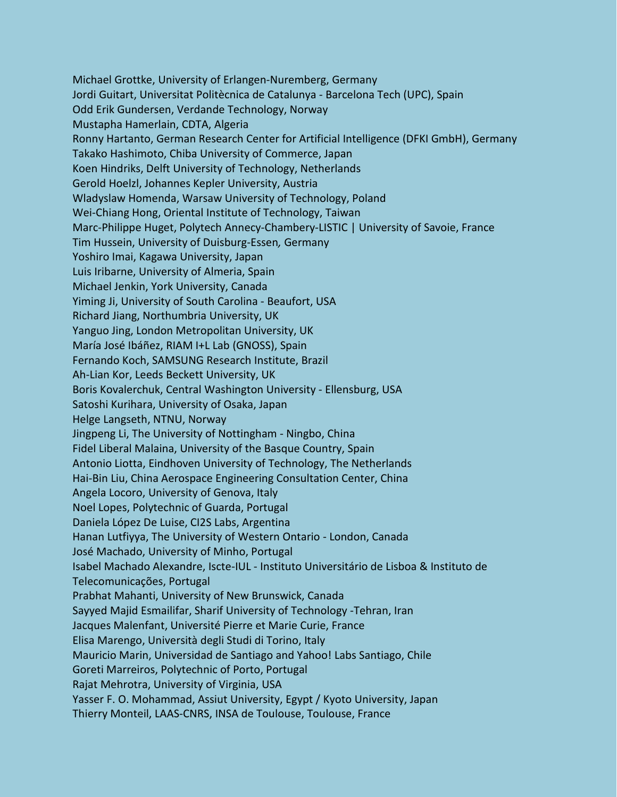Michael Grottke, University of Erlangen-Nuremberg, Germany Jordi Guitart, Universitat Politècnica de Catalunya - Barcelona Tech (UPC), Spain Odd Erik Gundersen, Verdande Technology, Norway Mustapha Hamerlain, CDTA, Algeria Ronny Hartanto, German Research Center for Artificial Intelligence (DFKI GmbH), Germany Takako Hashimoto, Chiba University of Commerce, Japan Koen Hindriks, Delft University of Technology, Netherlands Gerold Hoelzl, Johannes Kepler University, Austria Wladyslaw Homenda, Warsaw University of Technology, Poland Wei-Chiang Hong, Oriental Institute of Technology, Taiwan Marc-Philippe Huget, Polytech Annecy-Chambery-LISTIC | University of Savoie, France Tim Hussein, University of Duisburg-Essen*,* Germany Yoshiro Imai, Kagawa University, Japan Luis Iribarne, University of Almeria, Spain Michael Jenkin, York University, Canada Yiming Ji, University of South Carolina - Beaufort, USA Richard Jiang, Northumbria University, UK Yanguo Jing, London Metropolitan University, UK María José Ibáñez, RIAM I+L Lab (GNOSS), Spain Fernando Koch, SAMSUNG Research Institute, Brazil Ah-Lian Kor, Leeds Beckett University, UK Boris Kovalerchuk, Central Washington University - Ellensburg, USA Satoshi Kurihara, University of Osaka, Japan Helge Langseth, NTNU, Norway Jingpeng Li, The University of Nottingham - Ningbo, China Fidel Liberal Malaina, University of the Basque Country, Spain Antonio Liotta, Eindhoven University of Technology, The Netherlands Hai-Bin Liu, China Aerospace Engineering Consultation Center, China Angela Locoro, University of Genova, Italy Noel Lopes, Polytechnic of Guarda, Portugal Daniela López De Luise, CI2S Labs, Argentina Hanan Lutfiyya, The University of Western Ontario - London, Canada José Machado, University of Minho, Portugal Isabel Machado Alexandre, Iscte-IUL - Instituto Universitário de Lisboa & Instituto de Telecomunicações, Portugal Prabhat Mahanti, University of New Brunswick, Canada Sayyed Majid Esmailifar, Sharif University of Technology -Tehran, Iran Jacques Malenfant, Université Pierre et Marie Curie, France Elisa Marengo, Università degli Studi di Torino, Italy Mauricio Marin, Universidad de Santiago and Yahoo! Labs Santiago, Chile Goreti Marreiros, Polytechnic of Porto, Portugal Rajat Mehrotra, University of Virginia, USA Yasser F. O. Mohammad, Assiut University, Egypt / Kyoto University, Japan Thierry Monteil, LAAS-CNRS, INSA de Toulouse, Toulouse, France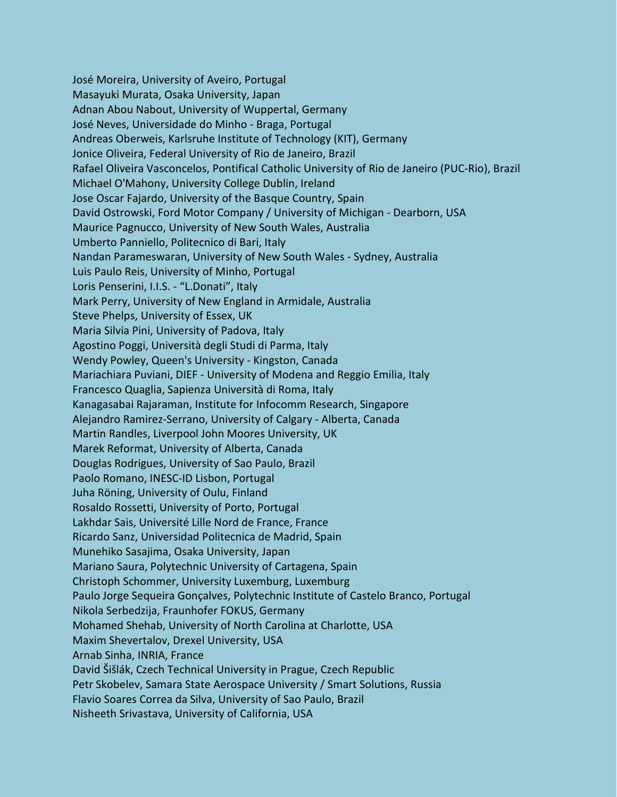José Moreira, University of Aveiro, Portugal Masayuki Murata, Osaka University, Japan Adnan Abou Nabout, University of Wuppertal, Germany José Neves, Universidade do Minho - Braga, Portugal Andreas Oberweis, Karlsruhe Institute of Technology (KIT), Germany Jonice Oliveira, Federal University of Rio de Janeiro, Brazil Rafael Oliveira Vasconcelos, Pontifical Catholic University of Rio de Janeiro (PUC-Rio), Brazil Michael O'Mahony, University College Dublin, Ireland Jose Oscar Fajardo, University of the Basque Country, Spain David Ostrowski, Ford Motor Company / University of Michigan - Dearborn, USA Maurice Pagnucco, University of New South Wales, Australia Umberto Panniello, Politecnico di Bari, Italy Nandan Parameswaran, University of New South Wales - Sydney, Australia Luis Paulo Reis, University of Minho, Portugal Loris Penserini, I.I.S. - "L.Donati", Italy Mark Perry, University of New England in Armidale, Australia Steve Phelps, University of Essex, UK Maria Silvia Pini, University of Padova, Italy Agostino Poggi, Università degli Studi di Parma, Italy Wendy Powley, Queen's University - Kingston, Canada Mariachiara Puviani, DIEF - University of Modena and Reggio Emilia, Italy Francesco Quaglia, Sapienza Università di Roma, Italy Kanagasabai Rajaraman, Institute for Infocomm Research, Singapore Alejandro Ramirez-Serrano, University of Calgary - Alberta, Canada Martin Randles, Liverpool John Moores University, UK Marek Reformat, University of Alberta, Canada Douglas Rodrigues, University of Sao Paulo, Brazil Paolo Romano, INESC-ID Lisbon, Portugal Juha Röning, University of Oulu, Finland Rosaldo Rossetti, University of Porto, Portugal Lakhdar Sais, Université Lille Nord de France, France Ricardo Sanz, Universidad Politecnica de Madrid, Spain Munehiko Sasajima, Osaka University, Japan Mariano Saura, Polytechnic University of Cartagena, Spain Christoph Schommer, University Luxemburg, Luxemburg Paulo Jorge Sequeira Gonçalves, Polytechnic Institute of Castelo Branco, Portugal Nikola Serbedzija, Fraunhofer FOKUS, Germany Mohamed Shehab, University of North Carolina at Charlotte, USA Maxim Shevertalov, Drexel University, USA Arnab Sinha, INRIA, France David Šišlák, Czech Technical University in Prague, Czech Republic Petr Skobelev, Samara State Aerospace University / Smart Solutions, Russia Flavio Soares Correa da Silva, University of Sao Paulo, Brazil Nisheeth Srivastava, University of California, USA